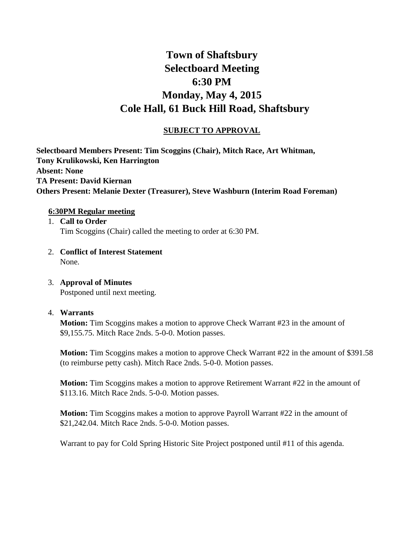# **Town of Shaftsbury Selectboard Meeting 6:30 PM Monday, May 4, 2015 Cole Hall, 61 Buck Hill Road, Shaftsbury**

#### **SUBJECT TO APPROVAL**

**Selectboard Members Present: Tim Scoggins (Chair), Mitch Race, Art Whitman, Tony Krulikowski, Ken Harrington Absent: None TA Present: David Kiernan Others Present: Melanie Dexter (Treasurer), Steve Washburn (Interim Road Foreman)**

#### **6:30PM Regular meeting**

- 1. **Call to Order**  Tim Scoggins (Chair) called the meeting to order at 6:30 PM.
- 2. **Conflict of Interest Statement**  None.
- 3. **Approval of Minutes**  Postponed until next meeting.

#### 4. **Warrants**

**Motion:** Tim Scoggins makes a motion to approve Check Warrant #23 in the amount of \$9,155.75. Mitch Race 2nds. 5-0-0. Motion passes.

**Motion:** Tim Scoggins makes a motion to approve Check Warrant #22 in the amount of \$391.58 (to reimburse petty cash). Mitch Race 2nds. 5-0-0. Motion passes.

**Motion:** Tim Scoggins makes a motion to approve Retirement Warrant #22 in the amount of \$113.16. Mitch Race 2nds. 5-0-0. Motion passes.

**Motion:** Tim Scoggins makes a motion to approve Payroll Warrant #22 in the amount of \$21,242.04. Mitch Race 2nds. 5-0-0. Motion passes.

Warrant to pay for Cold Spring Historic Site Project postponed until #11 of this agenda.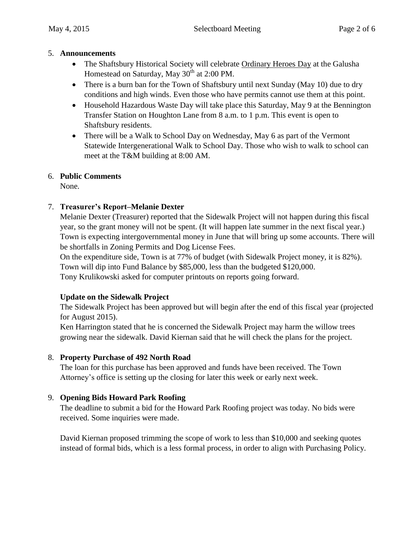#### 5. **Announcements**

- The Shaftsbury Historical Society will celebrate Ordinary Heroes Day at the Galusha Homestead on Saturday, May 30<sup>th</sup> at 2:00 PM.
- There is a burn ban for the Town of Shaftsbury until next Sunday (May 10) due to dry conditions and high winds. Even those who have permits cannot use them at this point.
- Household Hazardous Waste Day will take place this Saturday, May 9 at the Bennington Transfer Station on Houghton Lane from 8 a.m. to 1 p.m. This event is open to Shaftsbury residents.
- There will be a Walk to School Day on Wednesday, May 6 as part of the Vermont Statewide Intergenerational Walk to School Day. Those who wish to walk to school can meet at the T&M building at 8:00 AM.

# 6. **Public Comments**

None.

# 7. **Treasurer's Report–Melanie Dexter**

Melanie Dexter (Treasurer) reported that the Sidewalk Project will not happen during this fiscal year, so the grant money will not be spent. (It will happen late summer in the next fiscal year.) Town is expecting intergovernmental money in June that will bring up some accounts. There will be shortfalls in Zoning Permits and Dog License Fees.

On the expenditure side, Town is at 77% of budget (with Sidewalk Project money, it is 82%). Town will dip into Fund Balance by \$85,000, less than the budgeted \$120,000. Tony Krulikowski asked for computer printouts on reports going forward.

# **Update on the Sidewalk Project**

The Sidewalk Project has been approved but will begin after the end of this fiscal year (projected for August 2015).

Ken Harrington stated that he is concerned the Sidewalk Project may harm the willow trees growing near the sidewalk. David Kiernan said that he will check the plans for the project.

# 8. **Property Purchase of 492 North Road**

The loan for this purchase has been approved and funds have been received. The Town Attorney's office is setting up the closing for later this week or early next week.

# 9. **Opening Bids Howard Park Roofing**

The deadline to submit a bid for the Howard Park Roofing project was today. No bids were received. Some inquiries were made.

David Kiernan proposed trimming the scope of work to less than \$10,000 and seeking quotes instead of formal bids, which is a less formal process, in order to align with Purchasing Policy.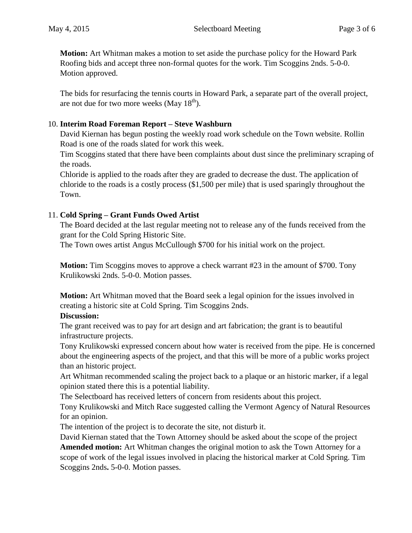**Motion:** Art Whitman makes a motion to set aside the purchase policy for the Howard Park Roofing bids and accept three non-formal quotes for the work. Tim Scoggins 2nds. 5-0-0. Motion approved.

The bids for resurfacing the tennis courts in Howard Park, a separate part of the overall project, are not due for two more weeks (May  $18<sup>th</sup>$ ).

#### 10. **Interim Road Foreman Report – Steve Washburn**

David Kiernan has begun posting the weekly road work schedule on the Town website. Rollin Road is one of the roads slated for work this week.

Tim Scoggins stated that there have been complaints about dust since the preliminary scraping of the roads.

Chloride is applied to the roads after they are graded to decrease the dust. The application of chloride to the roads is a costly process (\$1,500 per mile) that is used sparingly throughout the Town.

# 11. **Cold Spring – Grant Funds Owed Artist**

The Board decided at the last regular meeting not to release any of the funds received from the grant for the Cold Spring Historic Site.

The Town owes artist Angus McCullough \$700 for his initial work on the project.

**Motion:** Tim Scoggins moves to approve a check warrant #23 in the amount of \$700. Tony Krulikowski 2nds. 5-0-0. Motion passes.

**Motion:** Art Whitman moved that the Board seek a legal opinion for the issues involved in creating a historic site at Cold Spring. Tim Scoggins 2nds.

# **Discussion:**

The grant received was to pay for art design and art fabrication; the grant is to beautiful infrastructure projects.

Tony Krulikowski expressed concern about how water is received from the pipe. He is concerned about the engineering aspects of the project, and that this will be more of a public works project than an historic project.

Art Whitman recommended scaling the project back to a plaque or an historic marker, if a legal opinion stated there this is a potential liability.

The Selectboard has received letters of concern from residents about this project.

Tony Krulikowski and Mitch Race suggested calling the Vermont Agency of Natural Resources for an opinion.

The intention of the project is to decorate the site, not disturb it.

David Kiernan stated that the Town Attorney should be asked about the scope of the project **Amended motion:** Art Whitman changes the original motion to ask the Town Attorney for a scope of work of the legal issues involved in placing the historical marker at Cold Spring. Tim Scoggins 2nds**.** 5-0-0. Motion passes.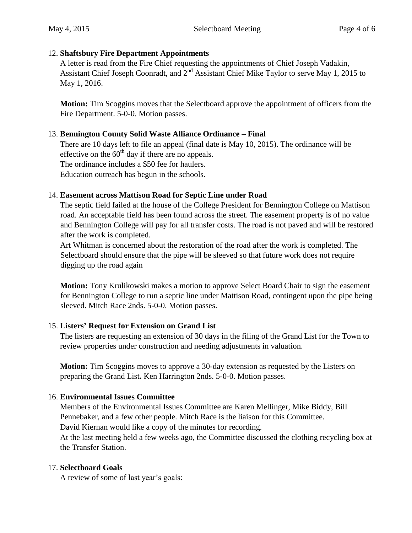#### 12. **Shaftsbury Fire Department Appointments**

A letter is read from the Fire Chief requesting the appointments of Chief Joseph Vadakin, Assistant Chief Joseph Coonradt, and  $2<sup>nd</sup>$  Assistant Chief Mike Taylor to serve May 1, 2015 to May 1, 2016.

**Motion:** Tim Scoggins moves that the Selectboard approve the appointment of officers from the Fire Department. 5-0-0. Motion passes.

#### 13. **Bennington County Solid Waste Alliance Ordinance – Final**

There are 10 days left to file an appeal (final date is May 10, 2015). The ordinance will be effective on the  $60<sup>th</sup>$  day if there are no appeals. The ordinance includes a \$50 fee for haulers. Education outreach has begun in the schools.

#### 14. **Easement across Mattison Road for Septic Line under Road**

The septic field failed at the house of the College President for Bennington College on Mattison road. An acceptable field has been found across the street. The easement property is of no value and Bennington College will pay for all transfer costs. The road is not paved and will be restored after the work is completed.

Art Whitman is concerned about the restoration of the road after the work is completed. The Selectboard should ensure that the pipe will be sleeved so that future work does not require digging up the road again

**Motion:** Tony Krulikowski makes a motion to approve Select Board Chair to sign the easement for Bennington College to run a septic line under Mattison Road, contingent upon the pipe being sleeved. Mitch Race 2nds. 5-0-0. Motion passes.

# 15. **Listers' Request for Extension on Grand List**

The listers are requesting an extension of 30 days in the filing of the Grand List for the Town to review properties under construction and needing adjustments in valuation.

**Motion:** Tim Scoggins moves to approve a 30-day extension as requested by the Listers on preparing the Grand List**.** Ken Harrington 2nds. 5-0-0. Motion passes.

# 16. **Environmental Issues Committee**

Members of the Environmental Issues Committee are Karen Mellinger, Mike Biddy, Bill Pennebaker, and a few other people. Mitch Race is the liaison for this Committee. David Kiernan would like a copy of the minutes for recording.

At the last meeting held a few weeks ago, the Committee discussed the clothing recycling box at the Transfer Station.

# 17. **Selectboard Goals**

A review of some of last year's goals: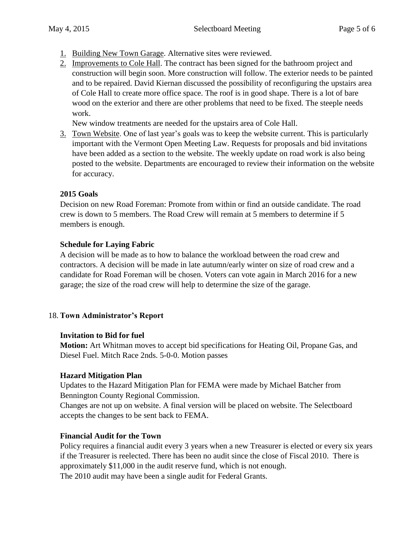- 1. Building New Town Garage. Alternative sites were reviewed.
- 2. Improvements to Cole Hall. The contract has been signed for the bathroom project and construction will begin soon. More construction will follow. The exterior needs to be painted and to be repaired. David Kiernan discussed the possibility of reconfiguring the upstairs area of Cole Hall to create more office space. The roof is in good shape. There is a lot of bare wood on the exterior and there are other problems that need to be fixed. The steeple needs work.

New window treatments are needed for the upstairs area of Cole Hall.

3. Town Website. One of last year's goals was to keep the website current. This is particularly important with the Vermont Open Meeting Law. Requests for proposals and bid invitations have been added as a section to the website. The weekly update on road work is also being posted to the website. Departments are encouraged to review their information on the website for accuracy.

# **2015 Goals**

Decision on new Road Foreman: Promote from within or find an outside candidate. The road crew is down to 5 members. The Road Crew will remain at 5 members to determine if 5 members is enough.

# **Schedule for Laying Fabric**

A decision will be made as to how to balance the workload between the road crew and contractors. A decision will be made in late autumn/early winter on size of road crew and a candidate for Road Foreman will be chosen. Voters can vote again in March 2016 for a new garage; the size of the road crew will help to determine the size of the garage.

# 18. **Town Administrator's Report**

# **Invitation to Bid for fuel**

**Motion:** Art Whitman moves to accept bid specifications for Heating Oil, Propane Gas, and Diesel Fuel. Mitch Race 2nds. 5-0-0. Motion passes

# **Hazard Mitigation Plan**

Updates to the Hazard Mitigation Plan for FEMA were made by Michael Batcher from Bennington County Regional Commission.

Changes are not up on website. A final version will be placed on website. The Selectboard accepts the changes to be sent back to FEMA.

# **Financial Audit for the Town**

Policy requires a financial audit every 3 years when a new Treasurer is elected or every six years if the Treasurer is reelected. There has been no audit since the close of Fiscal 2010. There is approximately \$11,000 in the audit reserve fund, which is not enough. The 2010 audit may have been a single audit for Federal Grants.